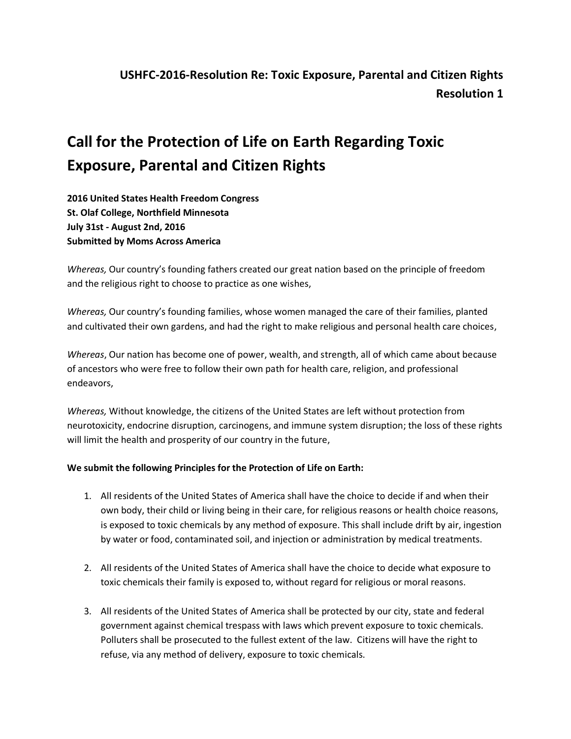## **Call for the Protection of Life on Earth Regarding Toxic Exposure, Parental and Citizen Rights**

**2016 United States Health Freedom Congress St. Olaf College, Northfield Minnesota July 31st - August 2nd, 2016 Submitted by Moms Across America** 

*Whereas,* Our country's founding fathers created our great nation based on the principle of freedom and the religious right to choose to practice as one wishes,

*Whereas,* Our country's founding families, whose women managed the care of their families, planted and cultivated their own gardens, and had the right to make religious and personal health care choices,

*Whereas*, Our nation has become one of power, wealth, and strength, all of which came about because of ancestors who were free to follow their own path for health care, religion, and professional endeavors,

*Whereas,* Without knowledge, the citizens of the United States are left without protection from neurotoxicity, endocrine disruption, carcinogens, and immune system disruption; the loss of these rights will limit the health and prosperity of our country in the future,

## **We submit the following Principles for the Protection of Life on Earth:**

- 1. All residents of the United States of America shall have the choice to decide if and when their own body, their child or living being in their care, for religious reasons or health choice reasons, is exposed to toxic chemicals by any method of exposure. This shall include drift by air, ingestion by water or food, contaminated soil, and injection or administration by medical treatments.
- 2. All residents of the United States of America shall have the choice to decide what exposure to toxic chemicals their family is exposed to, without regard for religious or moral reasons.
- 3. All residents of the United States of America shall be protected by our city, state and federal government against chemical trespass with laws which prevent exposure to toxic chemicals. Polluters shall be prosecuted to the fullest extent of the law. Citizens will have the right to refuse, via any method of delivery, exposure to toxic chemicals.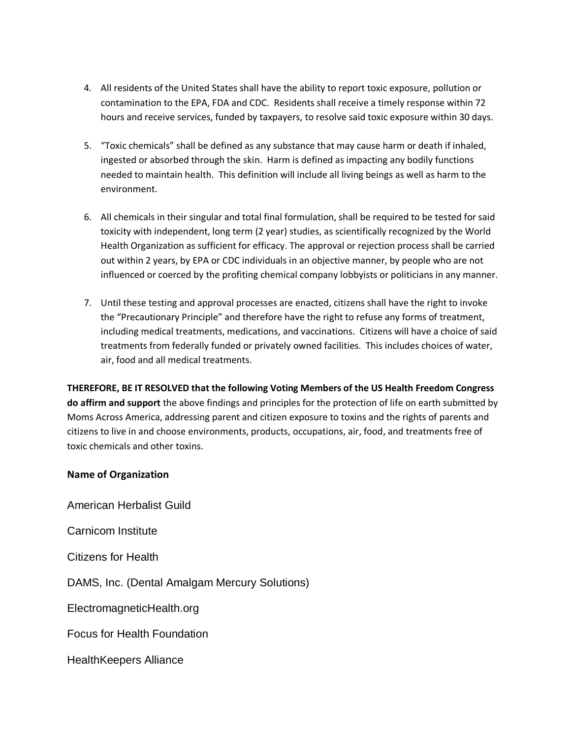- 4. All residents of the United States shall have the ability to report toxic exposure, pollution or contamination to the EPA, FDA and CDC. Residents shall receive a timely response within 72 hours and receive services, funded by taxpayers, to resolve said toxic exposure within 30 days.
- 5. "Toxic chemicals" shall be defined as any substance that may cause harm or death if inhaled, ingested or absorbed through the skin. Harm is defined as impacting any bodily functions needed to maintain health. This definition will include all living beings as well as harm to the environment.
- 6. All chemicals in their singular and total final formulation, shall be required to be tested for said toxicity with independent, long term (2 year) studies, as scientifically recognized by the World Health Organization as sufficient for efficacy. The approval or rejection process shall be carried out within 2 years, by EPA or CDC individuals in an objective manner, by people who are not influenced or coerced by the profiting chemical company lobbyists or politicians in any manner.
- 7. Until these testing and approval processes are enacted, citizens shall have the right to invoke the "Precautionary Principle" and therefore have the right to refuse any forms of treatment, including medical treatments, medications, and vaccinations. Citizens will have a choice of said treatments from federally funded or privately owned facilities. This includes choices of water, air, food and all medical treatments.

**THEREFORE, BE IT RESOLVED that the following Voting Members of the US Health Freedom Congress do affirm and support** the above findings and principles for the protection of life on earth submitted by Moms Across America, addressing parent and citizen exposure to toxins and the rights of parents and citizens to live in and choose environments, products, occupations, air, food, and treatments free of toxic chemicals and other toxins.

## **Name of Organization**

American Herbalist Guild

Carnicom Institute

Citizens for Health

DAMS, Inc. (Dental Amalgam Mercury Solutions)

ElectromagneticHealth.org

Focus for Health Foundation

HealthKeepers Alliance